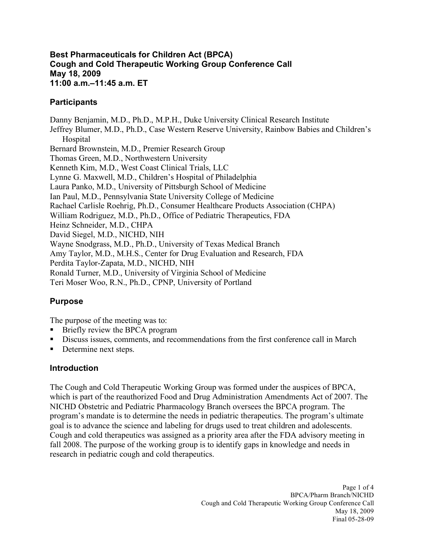#### **Best Pharmaceuticals for Children Act (BPCA) Cough and Cold Therapeutic Working Group Conference Call May 18, 2009 11:00 a.m.–11:45 a.m. ET**

#### **Participants**

 Danny Benjamin, M.D., Ph.D., M.P.H., Duke University Clinical Research Institute Jeffrey Blumer, M.D., Ph.D., Case Western Reserve University, Rainbow Babies and Children's Bernard Brownstein, M.D., Premier Research Group Thomas Green, M.D., Northwestern University Kenneth Kim, M.D., West Coast Clinical Trials, LLC Lynne G. Maxwell, M.D., Children's Hospital of Philadelphia Laura Panko, M.D., University of Pittsburgh School of Medicine Ian Paul, M.D., Pennsylvania State University College of Medicine Rachael Carlisle Roehrig, Ph.D., Consumer Healthcare Products Association (CHPA) William Rodriguez, M.D., Ph.D., Office of Pediatric Therapeutics, FDA Heinz Schneider, M.D., CHPA David Siegel, M.D., NICHD, NIH Wayne Snodgrass, M.D., Ph.D., University of Texas Medical Branch Amy Taylor, M.D., M.H.S., Center for Drug Evaluation and Research, FDA Perdita Taylor-Zapata, M.D., NICHD, NIH Ronald Turner, M.D., University of Virginia School of Medicine Teri Moser Woo, R.N., Ph.D., CPNP, University of Portland Hospital

### **Purpose**

The purpose of the meeting was to:

- **Briefly review the BPCA program**
- Discuss issues, comments, and recommendations from the first conference call in March
- Determine next steps.

### **Introduction**

 The Cough and Cold Therapeutic Working Group was formed under the auspices of BPCA, which is part of the reauthorized Food and Drug Administration Amendments Act of 2007. The NICHD Obstetric and Pediatric Pharmacology Branch oversees the BPCA program. The program's mandate is to determine the needs in pediatric therapeutics. The program's ultimate goal is to advance the science and labeling for drugs used to treat children and adolescents. Cough and cold therapeutics was assigned as a priority area after the FDA advisory meeting in fall 2008. The purpose of the working group is to identify gaps in knowledge and needs in research in pediatric cough and cold therapeutics.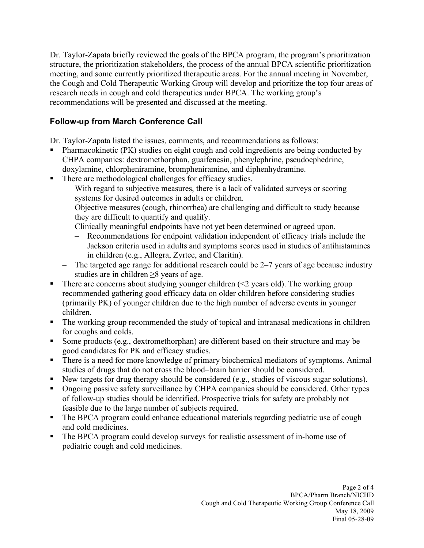Dr. Taylor-Zapata briefly reviewed the goals of the BPCA program, the program's prioritization structure, the prioritization stakeholders, the process of the annual BPCA scientific prioritization meeting, and some currently prioritized therapeutic areas. For the annual meeting in November, the Cough and Cold Therapeutic Working Group will develop and prioritize the top four areas of research needs in cough and cold therapeutics under BPCA. The working group's recommendations will be presented and discussed at the meeting.

# **Follow-up from March Conference Call**

Dr. Taylor-Zapata listed the issues, comments, and recommendations as follows:

- **Pharmacokinetic (PK) studies on eight cough and cold ingredients are being conducted by**  CHPA companies: dextromethorphan, guaifenesin, phenylephrine, pseudoephedrine, doxylamine, chlorpheniramine, brompheniramine, and diphenhydramine.
- There are methodological challenges for efficacy studies.
	- – With regard to subjective measures, there is a lack of validated surveys or scoring systems for desired outcomes in adults or children.
	- – Objective measures (cough, rhinorrhea) are challenging and difficult to study because they are difficult to quantify and qualify.
	- Clinically meaningful endpoints have not yet been determined or agreed upon.
		- – Recommendations for endpoint validation independent of efficacy trials include the Jackson criteria used in adults and symptoms scores used in studies of antihistamines in children (e.g., Allegra, Zyrtec, and Claritin).
	- The targeted age range for additional research could be 2–7 years of age because industry studies are in children ≥8 years of age.
- There are concerns about studying younger children  $\leq$  years old). The working group recommended gathering good efficacy data on older children before considering studies (primarily PK) of younger children due to the high number of adverse events in younger children.
- The working group recommended the study of topical and intranasal medications in children for coughs and colds.
- Some products (e.g., dextromethorphan) are different based on their structure and may be good candidates for PK and efficacy studies.
- There is a need for more knowledge of primary biochemical mediators of symptoms. Animal studies of drugs that do not cross the blood–brain barrier should be considered.
- New targets for drug therapy should be considered (e.g., studies of viscous sugar solutions).
- **•** Ongoing passive safety surveillance by CHPA companies should be considered. Other types of follow-up studies should be identified. Prospective trials for safety are probably not feasible due to the large number of subjects required.
- The BPCA program could enhance educational materials regarding pediatric use of cough and cold medicines.
- The BPCA program could develop surveys for realistic assessment of in-home use of pediatric cough and cold medicines.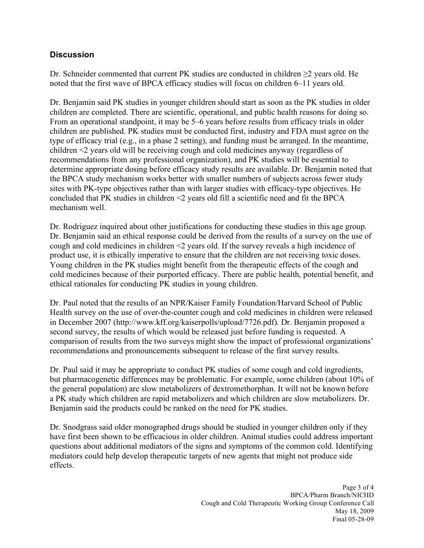#### **Discussion**

 Dr. Schneider commented that current PK studies are conducted in children ≥2 years old. He noted that the first wave of BPCA efficacy studies will focus on children 6–11 years old.

 Dr. Benjamin said PK studies in younger children should start as soon as the PK studies in older children are completed. There are scientific, operational, and public health reasons for doing so. From an operational standpoint, it may be 5–6 years before results from efficacy trials in older children are published. PK studies must be conducted first, industry and FDA must agree on the type of efficacy trial (e.g., in a phase 2 setting), and funding must be arranged. In the meantime, children <2 years old will be receiving cough and cold medicines anyway (regardless of recommendations from any professional organization), and PK studies will be essential to determine appropriate dosing before efficacy study results are available. Dr. Benjamin noted that the BPCA study mechanism works better with smaller numbers of subjects across fewer study sites with PK-type objectives rather than with larger studies with efficacy-type objectives. He concluded that PK studies in children <2 years old fill a scientific need and fit the BPCA mechanism well.

 Dr. Rodriguez inquired about other justifications for conducting these studies in this age group. Dr. Benjamin said an ethical response could be derived from the results of a survey on the use of cough and cold medicines in children <2 years old. If the survey reveals a high incidence of product use, it is ethically imperative to ensure that the children are not receiving toxic doses. Young children in the PK studies might benefit from the therapeutic effects of the cough and cold medicines because of their purported efficacy. There are public health, potential benefit, and ethical rationales for conducting PK studies in young children.

 Dr. Paul noted that the results of an NPR/Kaiser Family Foundation/Harvard School of Public Health survey on the use of over-the-counter cough and cold medicines in children were released in December 2007 (http://www.kff.org/kaiserpolls/upload/7726.pdf). Dr. Benjamin proposed a second survey, the results of which would be released just before funding is requested. A comparison of results from the two surveys might show the impact of professional organizations' recommendations and pronouncements subsequent to release of the first survey results.

 Dr. Paul said it may be appropriate to conduct PK studies of some cough and cold ingredients, but pharmacogenetic differences may be problematic. For example, some children (about 10% of the general population) are slow metabolizers of dextromethorphan. It will not be known before a PK study which children are rapid metabolizers and which children are slow metabolizers. Dr. Benjamin said the products could be ranked on the need for PK studies.

 Dr. Snodgrass said older monographed drugs should be studied in younger children only if they have first been shown to be efficacious in older children. Animal studies could address important questions about additional mediators of the signs and symptoms of the common cold. Identifying mediators could help develop therapeutic targets of new agents that might not produce side effects.